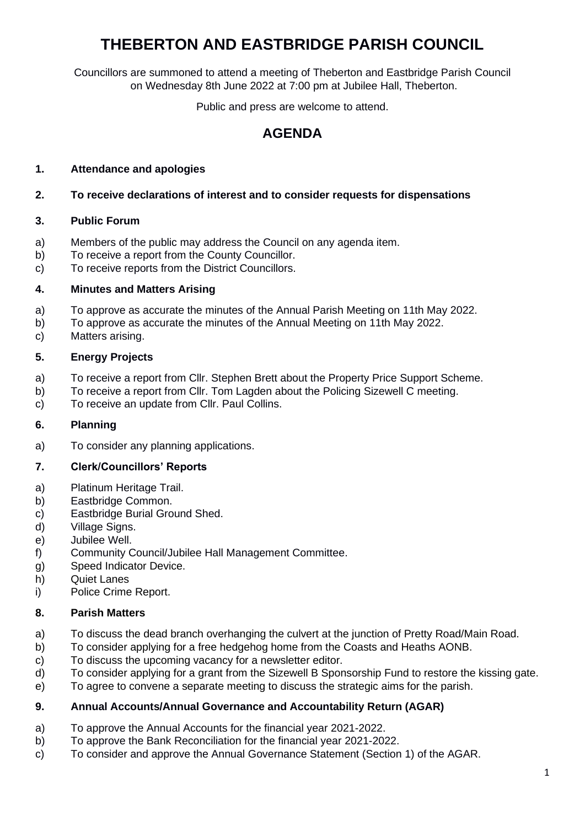# **THEBERTON AND EASTBRIDGE PARISH COUNCIL**

Councillors are summoned to attend a meeting of Theberton and Eastbridge Parish Council on Wednesday 8th June 2022 at 7:00 pm at Jubilee Hall, Theberton.

Public and press are welcome to attend.

# **AGENDA**

# **1. Attendance and apologies**

## **2. To receive declarations of interest and to consider requests for dispensations**

## **3. Public Forum**

- a) Members of the public may address the Council on any agenda item.
- b) To receive a report from the County Councillor.
- c) To receive reports from the District Councillors.

## **4. Minutes and Matters Arising**

- a) To approve as accurate the minutes of the Annual Parish Meeting on 11th May 2022.
- b) To approve as accurate the minutes of the Annual Meeting on 11th May 2022.
- c) Matters arising.

## **5. Energy Projects**

- a) To receive a report from Cllr. Stephen Brett about the Property Price Support Scheme.
- b) To receive a report from Cllr. Tom Lagden about the Policing Sizewell C meeting.
- c) To receive an update from Cllr. Paul Collins.

## **6. Planning**

a) To consider any planning applications.

## **7. Clerk/Councillors' Reports**

- a) Platinum Heritage Trail.
- b) Eastbridge Common.
- c) Eastbridge Burial Ground Shed.
- d) Village Signs.
- e) Jubilee Well.
- f) Community Council/Jubilee Hall Management Committee.
- g) Speed Indicator Device.
- h) Quiet Lanes
- i) Police Crime Report.

## **8. Parish Matters**

- a) To discuss the dead branch overhanging the culvert at the junction of Pretty Road/Main Road.
- b) To consider applying for a free hedgehog home from the Coasts and Heaths AONB.
- c) To discuss the upcoming vacancy for a newsletter editor.
- d) To consider applying for a grant from the Sizewell B Sponsorship Fund to restore the kissing gate.
- e) To agree to convene a separate meeting to discuss the strategic aims for the parish.

## **9. Annual Accounts/Annual Governance and Accountability Return (AGAR)**

- a) To approve the Annual Accounts for the financial year 2021-2022.
- b) To approve the Bank Reconciliation for the financial year 2021-2022.
- c) To consider and approve the Annual Governance Statement (Section 1) of the AGAR.